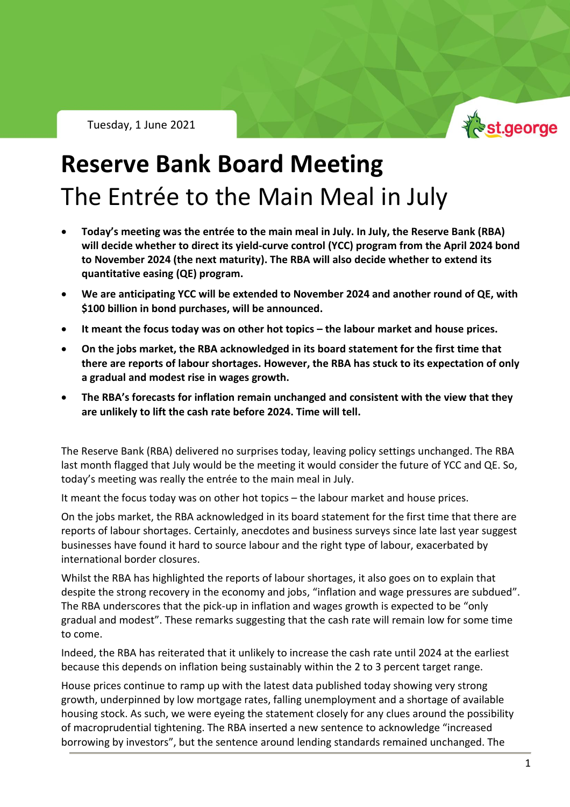Tuesday, 1 June 2021



## **Reserve Bank Board Meeting** The Entrée to the Main Meal in July

- **Today's meeting was the entrée to the main meal in July. In July, the Reserve Bank (RBA) will decide whether to direct its yield-curve control (YCC) program from the April 2024 bond to November 2024 (the next maturity). The RBA will also decide whether to extend its quantitative easing (QE) program.**
- **We are anticipating YCC will be extended to November 2024 and another round of QE, with \$100 billion in bond purchases, will be announced.**
- **It meant the focus today was on other hot topics – the labour market and house prices.**
- **On the jobs market, the RBA acknowledged in its board statement for the first time that there are reports of labour shortages. However, the RBA has stuck to its expectation of only a gradual and modest rise in wages growth.**
- **The RBA's forecasts for inflation remain unchanged and consistent with the view that they are unlikely to lift the cash rate before 2024. Time will tell.**

The Reserve Bank (RBA) delivered no surprises today, leaving policy settings unchanged. The RBA last month flagged that July would be the meeting it would consider the future of YCC and QE. So, today's meeting was really the entrée to the main meal in July.

It meant the focus today was on other hot topics – the labour market and house prices.

On the jobs market, the RBA acknowledged in its board statement for the first time that there are reports of labour shortages. Certainly, anecdotes and business surveys since late last year suggest businesses have found it hard to source labour and the right type of labour, exacerbated by international border closures.

Whilst the RBA has highlighted the reports of labour shortages, it also goes on to explain that despite the strong recovery in the economy and jobs, "inflation and wage pressures are subdued". The RBA underscores that the pick-up in inflation and wages growth is expected to be "only gradual and modest". These remarks suggesting that the cash rate will remain low for some time to come.

Indeed, the RBA has reiterated that it unlikely to increase the cash rate until 2024 at the earliest because this depends on inflation being sustainably within the 2 to 3 percent target range.

House prices continue to ramp up with the latest data published today showing very strong growth, underpinned by low mortgage rates, falling unemployment and a shortage of available housing stock. As such, we were eyeing the statement closely for any clues around the possibility of macroprudential tightening. The RBA inserted a new sentence to acknowledge "increased borrowing by investors", but the sentence around lending standards remained unchanged. The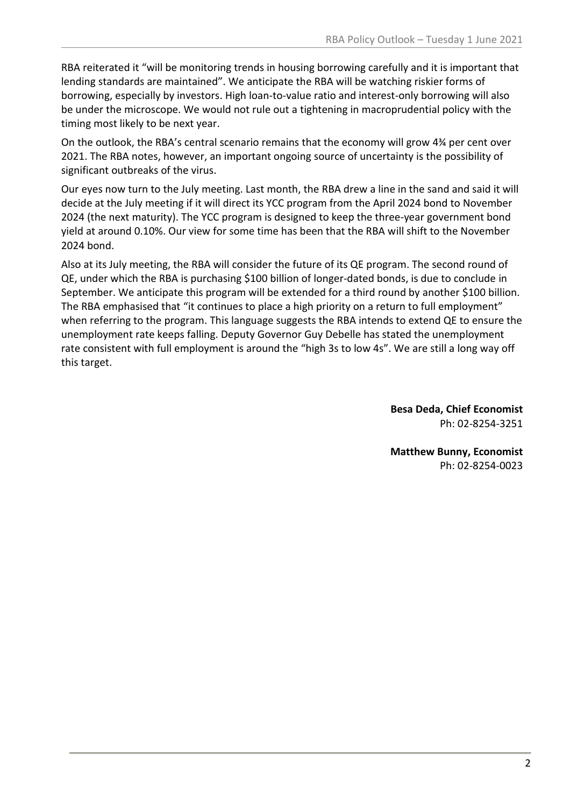RBA reiterated it "will be monitoring trends in housing borrowing carefully and it is important that lending standards are maintained". We anticipate the RBA will be watching riskier forms of borrowing, especially by investors. High loan-to-value ratio and interest-only borrowing will also be under the microscope. We would not rule out a tightening in macroprudential policy with the timing most likely to be next year.

On the outlook, the RBA's central scenario remains that the economy will grow 4¾ per cent over 2021. The RBA notes, however, an important ongoing source of uncertainty is the possibility of significant outbreaks of the virus.

Our eyes now turn to the July meeting. Last month, the RBA drew a line in the sand and said it will decide at the July meeting if it will direct its YCC program from the April 2024 bond to November 2024 (the next maturity). The YCC program is designed to keep the three-year government bond yield at around 0.10%. Our view for some time has been that the RBA will shift to the November 2024 bond.

Also at its July meeting, the RBA will consider the future of its QE program. The second round of QE, under which the RBA is purchasing \$100 billion of longer-dated bonds, is due to conclude in September. We anticipate this program will be extended for a third round by another \$100 billion. The RBA emphasised that "it continues to place a high priority on a return to full employment" when referring to the program. This language suggests the RBA intends to extend QE to ensure the unemployment rate keeps falling. Deputy Governor Guy Debelle has stated the unemployment rate consistent with full employment is around the "high 3s to low 4s". We are still a long way off this target.

> **Besa Deda, Chief Economist** Ph: 02-8254-3251

> **Matthew Bunny, Economist** Ph: 02-8254-0023